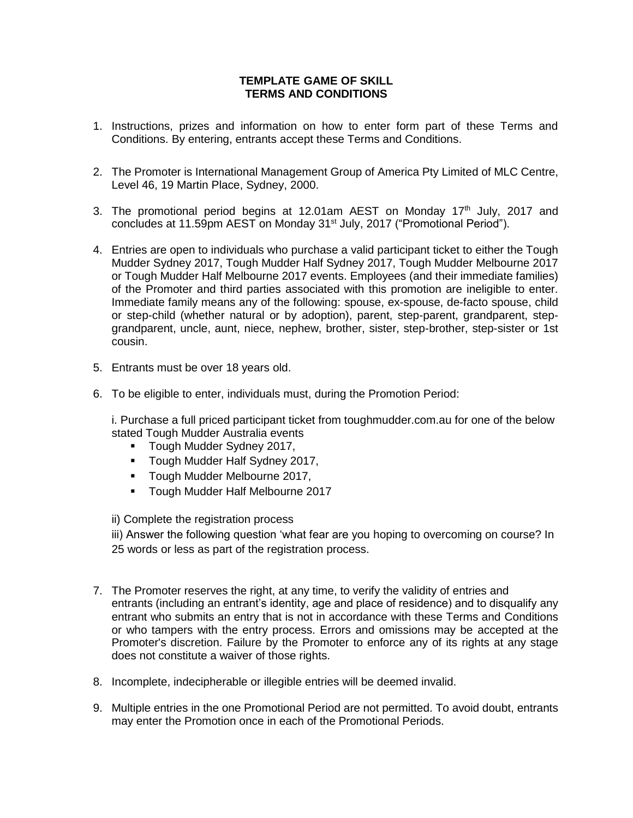## **TEMPLATE GAME OF SKILL TERMS AND CONDITIONS**

- 1. Instructions, prizes and information on how to enter form part of these Terms and Conditions. By entering, entrants accept these Terms and Conditions.
- 2. The Promoter is International Management Group of America Pty Limited of MLC Centre, Level 46, 19 Martin Place, Sydney, 2000.
- 3. The promotional period begins at 12.01am AEST on Monday  $17<sup>th</sup>$  July, 2017 and concludes at 11.59pm AEST on Monday 31<sup>st</sup> July, 2017 ("Promotional Period").
- 4. Entries are open to individuals who purchase a valid participant ticket to either the Tough Mudder Sydney 2017, Tough Mudder Half Sydney 2017, Tough Mudder Melbourne 2017 or Tough Mudder Half Melbourne 2017 events. Employees (and their immediate families) of the Promoter and third parties associated with this promotion are ineligible to enter. Immediate family means any of the following: spouse, ex-spouse, de-facto spouse, child or step-child (whether natural or by adoption), parent, step-parent, grandparent, stepgrandparent, uncle, aunt, niece, nephew, brother, sister, step-brother, step-sister or 1st cousin.
- 5. Entrants must be over 18 years old.
- 6. To be eligible to enter, individuals must, during the Promotion Period:

i. Purchase a full priced participant ticket from toughmudder.com.au for one of the below stated Tough Mudder Australia events

- **Tough Mudder Sydney 2017,**
- **Tough Mudder Half Sydney 2017,**
- **Tough Mudder Melbourne 2017,**
- **Tough Mudder Half Melbourne 2017**

ii) Complete the registration process

iii) Answer the following question 'what fear are you hoping to overcoming on course? In 25 words or less as part of the registration process.

- 7. The Promoter reserves the right, at any time, to verify the validity of entries and entrants (including an entrant's identity, age and place of residence) and to disqualify any entrant who submits an entry that is not in accordance with these Terms and Conditions or who tampers with the entry process. Errors and omissions may be accepted at the Promoter's discretion. Failure by the Promoter to enforce any of its rights at any stage does not constitute a waiver of those rights.
- 8. Incomplete, indecipherable or illegible entries will be deemed invalid.
- 9. Multiple entries in the one Promotional Period are not permitted. To avoid doubt, entrants may enter the Promotion once in each of the Promotional Periods.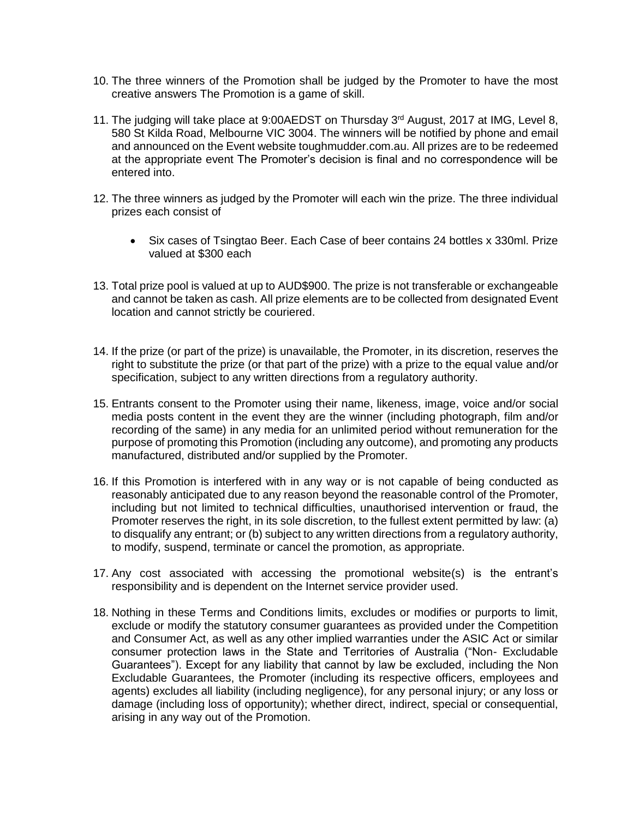- 10. The three winners of the Promotion shall be judged by the Promoter to have the most creative answers The Promotion is a game of skill.
- 11. The judging will take place at 9:00AEDST on Thursday 3<sup>rd</sup> August, 2017 at IMG, Level 8, 580 St Kilda Road, Melbourne VIC 3004. The winners will be notified by phone and email and announced on the Event website toughmudder.com.au. All prizes are to be redeemed at the appropriate event The Promoter's decision is final and no correspondence will be entered into.
- 12. The three winners as judged by the Promoter will each win the prize. The three individual prizes each consist of
	- Six cases of Tsingtao Beer. Each Case of beer contains 24 bottles x 330ml. Prize valued at \$300 each
- 13. Total prize pool is valued at up to AUD\$900. The prize is not transferable or exchangeable and cannot be taken as cash. All prize elements are to be collected from designated Event location and cannot strictly be couriered.
- 14. If the prize (or part of the prize) is unavailable, the Promoter, in its discretion, reserves the right to substitute the prize (or that part of the prize) with a prize to the equal value and/or specification, subject to any written directions from a regulatory authority.
- 15. Entrants consent to the Promoter using their name, likeness, image, voice and/or social media posts content in the event they are the winner (including photograph, film and/or recording of the same) in any media for an unlimited period without remuneration for the purpose of promoting this Promotion (including any outcome), and promoting any products manufactured, distributed and/or supplied by the Promoter.
- 16. If this Promotion is interfered with in any way or is not capable of being conducted as reasonably anticipated due to any reason beyond the reasonable control of the Promoter, including but not limited to technical difficulties, unauthorised intervention or fraud, the Promoter reserves the right, in its sole discretion, to the fullest extent permitted by law: (a) to disqualify any entrant; or (b) subject to any written directions from a regulatory authority, to modify, suspend, terminate or cancel the promotion, as appropriate.
- 17. Any cost associated with accessing the promotional website(s) is the entrant's responsibility and is dependent on the Internet service provider used.
- 18. Nothing in these Terms and Conditions limits, excludes or modifies or purports to limit, exclude or modify the statutory consumer guarantees as provided under the Competition and Consumer Act, as well as any other implied warranties under the ASIC Act or similar consumer protection laws in the State and Territories of Australia ("Non- Excludable Guarantees"). Except for any liability that cannot by law be excluded, including the Non Excludable Guarantees, the Promoter (including its respective officers, employees and agents) excludes all liability (including negligence), for any personal injury; or any loss or damage (including loss of opportunity); whether direct, indirect, special or consequential, arising in any way out of the Promotion.